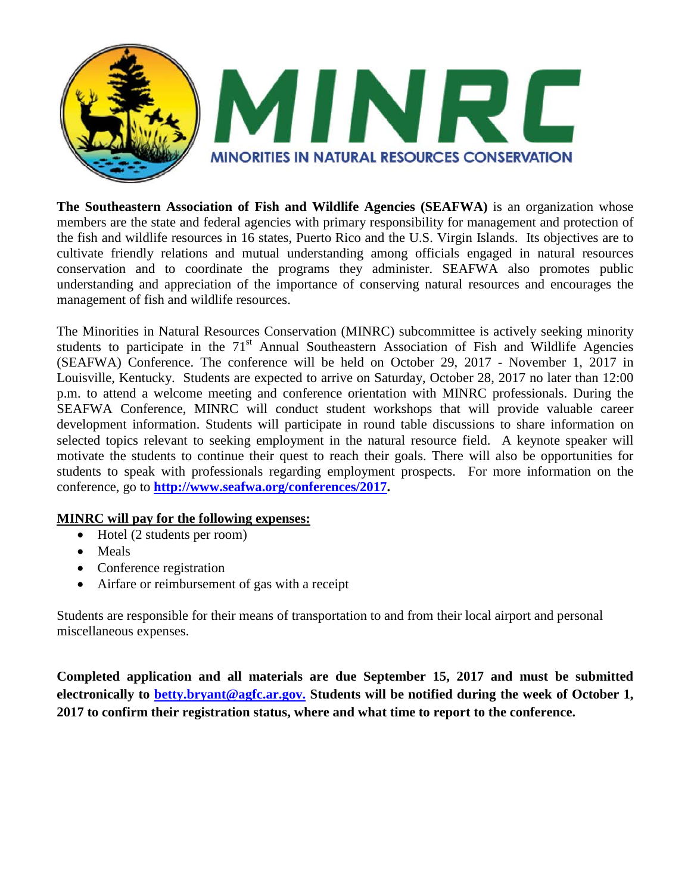

**The Southeastern Association of Fish and Wildlife Agencies (SEAFWA)** is an organization whose members are the state and federal agencies with primary responsibility for management and protection of the fish and wildlife resources in 16 states, Puerto Rico and the U.S. Virgin Islands. Its objectives are to cultivate friendly relations and mutual understanding among officials engaged in natural resources conservation and to coordinate the programs they administer. SEAFWA also promotes public understanding and appreciation of the importance of conserving natural resources and encourages the management of fish and wildlife resources.

The Minorities in Natural Resources Conservation (MINRC) subcommittee is actively seeking minority students to participate in the  $71<sup>st</sup>$  Annual Southeastern Association of Fish and Wildlife Agencies (SEAFWA) Conference. The conference will be held on October 29, 2017 - November 1, 2017 in Louisville, Kentucky. Students are expected to arrive on Saturday, October 28, 2017 no later than 12:00 p.m. to attend a welcome meeting and conference orientation with MINRC professionals. During the SEAFWA Conference, MINRC will conduct student workshops that will provide valuable career development information. Students will participate in round table discussions to share information on selected topics relevant to seeking employment in the natural resource field. A keynote speaker will motivate the students to continue their quest to reach their goals. There will also be opportunities for students to speak with professionals regarding employment prospects. For more information on the conference, go to **[http://www.seafwa.org/conferences/2017.](http://www.seafwa.org/conferences/2017)** 

## **MINRC will pay for the following expenses:**

- Hotel (2 students per room)
- Meals
- Conference registration
- Airfare or reimbursement of gas with a receipt

Students are responsible for their means of transportation to and from their local airport and personal miscellaneous expenses.

**Completed application and all materials are due September 15, 2017 and must be submitted electronically to [betty.bryant@agfc.ar.gov.](mailto:betty.bryant@agfc.ar.gov) Students will be notified during the week of October 1, 2017 to confirm their registration status, where and what time to report to the conference.**